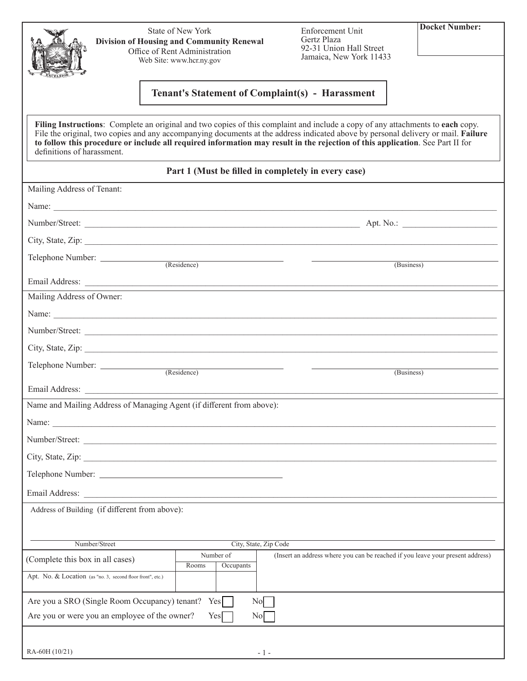|                                  |                                                                       |                                                                                                                                    |                                                                                                                                                                                                                                                                                                                                                                                                      | <b>Docket Number:</b> |
|----------------------------------|-----------------------------------------------------------------------|------------------------------------------------------------------------------------------------------------------------------------|------------------------------------------------------------------------------------------------------------------------------------------------------------------------------------------------------------------------------------------------------------------------------------------------------------------------------------------------------------------------------------------------------|-----------------------|
|                                  |                                                                       | State of New York<br><b>Division of Housing and Community Renewal</b><br>Office of Rent Administration<br>Web Site: www.hcr.ny.gov | Enforcement Unit<br>Gertz Plaza<br>92-31 Union Hall Street<br>Jamaica, New York 11433                                                                                                                                                                                                                                                                                                                |                       |
|                                  |                                                                       |                                                                                                                                    | <b>Tenant's Statement of Complaint(s) - Harassment</b>                                                                                                                                                                                                                                                                                                                                               |                       |
| definitions of harassment.       |                                                                       |                                                                                                                                    | Filing Instructions: Complete an original and two copies of this complaint and include a copy of any attachments to each copy.<br>File the original, two copies and any accompanying documents at the address indicated above by personal delivery or mail. Failure<br>to follow this procedure or include all required information may result in the rejection of this application. See Part II for |                       |
|                                  |                                                                       |                                                                                                                                    | Part 1 (Must be filled in completely in every case)                                                                                                                                                                                                                                                                                                                                                  |                       |
| Mailing Address of Tenant:       |                                                                       |                                                                                                                                    |                                                                                                                                                                                                                                                                                                                                                                                                      |                       |
|                                  | Name:                                                                 |                                                                                                                                    |                                                                                                                                                                                                                                                                                                                                                                                                      |                       |
|                                  |                                                                       |                                                                                                                                    |                                                                                                                                                                                                                                                                                                                                                                                                      |                       |
|                                  |                                                                       |                                                                                                                                    |                                                                                                                                                                                                                                                                                                                                                                                                      |                       |
|                                  | Telephone Number:                                                     |                                                                                                                                    | (Residence)                                                                                                                                                                                                                                                                                                                                                                                          | (Business)            |
|                                  |                                                                       |                                                                                                                                    |                                                                                                                                                                                                                                                                                                                                                                                                      |                       |
| Mailing Address of Owner:        |                                                                       |                                                                                                                                    |                                                                                                                                                                                                                                                                                                                                                                                                      |                       |
|                                  | Name:                                                                 |                                                                                                                                    |                                                                                                                                                                                                                                                                                                                                                                                                      |                       |
|                                  |                                                                       |                                                                                                                                    |                                                                                                                                                                                                                                                                                                                                                                                                      |                       |
|                                  |                                                                       |                                                                                                                                    |                                                                                                                                                                                                                                                                                                                                                                                                      |                       |
|                                  |                                                                       |                                                                                                                                    |                                                                                                                                                                                                                                                                                                                                                                                                      | (Business)            |
|                                  |                                                                       |                                                                                                                                    |                                                                                                                                                                                                                                                                                                                                                                                                      |                       |
|                                  | Name and Mailing Address of Managing Agent (if different from above): |                                                                                                                                    |                                                                                                                                                                                                                                                                                                                                                                                                      |                       |
|                                  | Name:                                                                 |                                                                                                                                    |                                                                                                                                                                                                                                                                                                                                                                                                      |                       |
|                                  | Number/Street:                                                        |                                                                                                                                    |                                                                                                                                                                                                                                                                                                                                                                                                      |                       |
|                                  |                                                                       |                                                                                                                                    |                                                                                                                                                                                                                                                                                                                                                                                                      |                       |
|                                  |                                                                       |                                                                                                                                    |                                                                                                                                                                                                                                                                                                                                                                                                      |                       |
|                                  |                                                                       |                                                                                                                                    |                                                                                                                                                                                                                                                                                                                                                                                                      |                       |
|                                  | Address of Building (if different from above):                        |                                                                                                                                    |                                                                                                                                                                                                                                                                                                                                                                                                      |                       |
|                                  |                                                                       |                                                                                                                                    |                                                                                                                                                                                                                                                                                                                                                                                                      |                       |
|                                  | Number/Street                                                         | City, State, Zip Code                                                                                                              |                                                                                                                                                                                                                                                                                                                                                                                                      |                       |
| (Complete this box in all cases) |                                                                       | Number of<br>Rooms<br>Occupants                                                                                                    | (Insert an address where you can be reached if you leave your present address)                                                                                                                                                                                                                                                                                                                       |                       |
|                                  | Apt. No. & Location (as "no. 3, second floor front", etc.)            |                                                                                                                                    |                                                                                                                                                                                                                                                                                                                                                                                                      |                       |
|                                  | Are you a SRO (Single Room Occupancy) tenant? Yes                     | No                                                                                                                                 |                                                                                                                                                                                                                                                                                                                                                                                                      |                       |
|                                  | Are you or were you an employee of the owner?                         | Yes<br>No                                                                                                                          |                                                                                                                                                                                                                                                                                                                                                                                                      |                       |
|                                  |                                                                       |                                                                                                                                    |                                                                                                                                                                                                                                                                                                                                                                                                      |                       |
| RA-60H (10/21)                   |                                                                       |                                                                                                                                    | - 1 -                                                                                                                                                                                                                                                                                                                                                                                                |                       |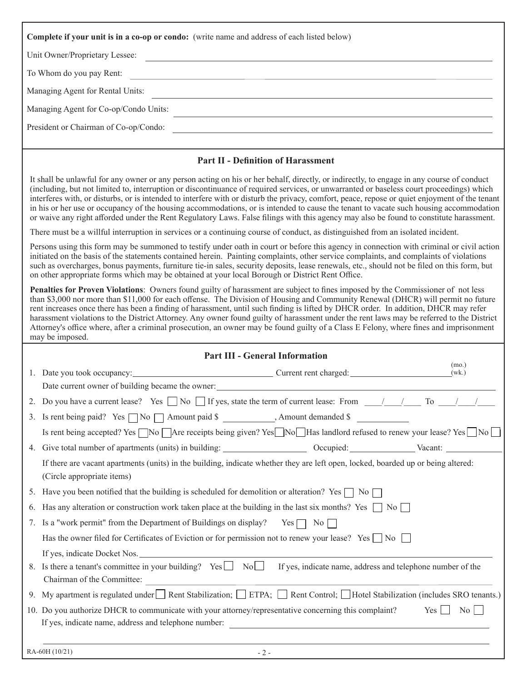| Complete if your unit is in a co-op or condo: (write name and address of each listed below)                                                                                                                                                                                                                                                                                                                                                                                                                                                                                                                                                                                                                                |  |
|----------------------------------------------------------------------------------------------------------------------------------------------------------------------------------------------------------------------------------------------------------------------------------------------------------------------------------------------------------------------------------------------------------------------------------------------------------------------------------------------------------------------------------------------------------------------------------------------------------------------------------------------------------------------------------------------------------------------------|--|
| Unit Owner/Proprietary Lessee:                                                                                                                                                                                                                                                                                                                                                                                                                                                                                                                                                                                                                                                                                             |  |
| To Whom do you pay Rent:                                                                                                                                                                                                                                                                                                                                                                                                                                                                                                                                                                                                                                                                                                   |  |
| Managing Agent for Rental Units:                                                                                                                                                                                                                                                                                                                                                                                                                                                                                                                                                                                                                                                                                           |  |
| Managing Agent for Co-op/Condo Units:                                                                                                                                                                                                                                                                                                                                                                                                                                                                                                                                                                                                                                                                                      |  |
| President or Chairman of Co-op/Condo:                                                                                                                                                                                                                                                                                                                                                                                                                                                                                                                                                                                                                                                                                      |  |
|                                                                                                                                                                                                                                                                                                                                                                                                                                                                                                                                                                                                                                                                                                                            |  |
| <b>Part II - Definition of Harassment</b>                                                                                                                                                                                                                                                                                                                                                                                                                                                                                                                                                                                                                                                                                  |  |
| It shall be unlawful for any owner or any person acting on his or her behalf, directly, or indirectly, to engage in any course of conduct<br>(including, but not limited to, interruption or discontinuance of required services, or unwarranted or baseless court proceedings) which<br>interferes with, or disturbs, or is intended to interfere with or disturb the privacy, comfort, peace, repose or quiet enjoyment of the tenant<br>in his or her use or occupancy of the housing accommodations, or is intended to cause the tenant to vacate such housing accommodation<br>or waive any right afforded under the Rent Regulatory Laws. False filings with this agency may also be found to constitute harassment. |  |
| There must be a willful interruption in services or a continuing course of conduct, as distinguished from an isolated incident.                                                                                                                                                                                                                                                                                                                                                                                                                                                                                                                                                                                            |  |
| Persons using this form may be summoned to testify under oath in court or before this agency in connection with criminal or civil action<br>initiated on the basis of the statements contained herein. Painting complaints, other service complaints, and complaints of violations<br>such as overcharges, bonus payments, furniture tie-in sales, security deposits, lease renewals, etc., should not be filed on this form, but<br>on other appropriate forms which may be obtained at your local Borough or District Rent Office.                                                                                                                                                                                       |  |
| Penalties for Proven Violations: Owners found guilty of harassment are subject to fines imposed by the Commissioner of not less                                                                                                                                                                                                                                                                                                                                                                                                                                                                                                                                                                                            |  |

than \$3,000 nor more than \$11,000 for each offense. The Division of Housing and Community Renewal (DHCR) will permit no future rent increases once there has been a finding of harassment, until such finding is lifted by DHCR order. In addition, DHCR may refer harassment violations to the District Attorney. Any owner found guilty of harassment under the rent laws may be referred to the District Attorney's office where, after a criminal prosecution, an owner may be found guilty of a Class E Felony, where fines and imprisonment may be imposed.

|    | <b>Part III - General Information</b>                                                                                                                           |
|----|-----------------------------------------------------------------------------------------------------------------------------------------------------------------|
|    | (mo.)<br>(wk.)                                                                                                                                                  |
|    |                                                                                                                                                                 |
| 2. | Do you have a current lease? Yes $\Box$ No $\Box$ If yes, state the term of current lease: From $\Box$ / $\Box$ To $\Box$ / /                                   |
| 3. | Is rent being paid? Yes $\Box$ No $\Box$ Amount paid \$ ____________, Amount demanded \$                                                                        |
|    | Is rent being accepted? Yes $\Box$ No $\Box$ Are receipts being given? Yes $\Box$ No $\Box$ Has landlord refused to renew your lease? Yes $\Box$ No $\Box$      |
|    |                                                                                                                                                                 |
|    | If there are vacant apartments (units) in the building, indicate whether they are left open, locked, boarded up or being altered:<br>(Circle appropriate items) |
| 5. | Have you been notified that the building is scheduled for demolition or alteration? Yes $\Box$ No $\Box$                                                        |
| 6. | Has any alteration or construction work taken place at the building in the last six months? Yes $\Box$ No $\Box$                                                |
| 7. | Is a "work permit" from the Department of Buildings on display? Yes $\Box$ No $\Box$                                                                            |
|    | Has the owner filed for Certificates of Eviction or for permission not to renew your lease? Yes $\Box$ No $\Box$                                                |
|    |                                                                                                                                                                 |
|    | 8. Is there a tenant's committee in your building? Yes \[ No \] No \] If yes, indicate name, address and telephone number of the<br>Chairman of the Committee:  |
| 9. | My apartment is regulated under Rent Stabilization; $\Box$ ETPA; $\Box$ Rent Control; $\Box$ Hotel Stabilization (includes SRO tenants.)                        |
|    | 10. Do you authorize DHCR to communicate with your attorney/representative concerning this complaint?<br>Yes<br>$\overline{N_0}$                                |
|    | RA-60H (10/21)<br>$-2-$                                                                                                                                         |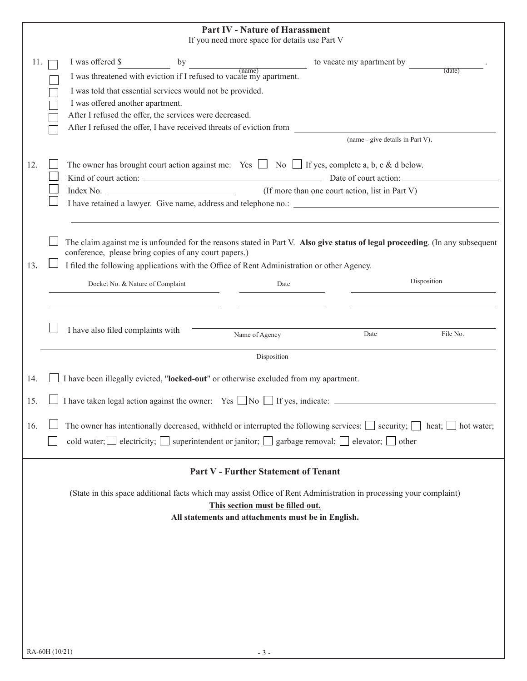|     | <b>Part IV - Nature of Harassment</b><br>If you need more space for details use Part V                                                                                                                                                                                                                                                         |
|-----|------------------------------------------------------------------------------------------------------------------------------------------------------------------------------------------------------------------------------------------------------------------------------------------------------------------------------------------------|
| 11. | I was offered \$<br>to vacate my apartment by<br>by<br>$frac{1}{2}$<br>(data)<br>I was threatened with eviction if I refused to vacate my apartment.                                                                                                                                                                                           |
|     | I was told that essential services would not be provided.<br>I was offered another apartment.<br>After I refused the offer, the services were decreased.                                                                                                                                                                                       |
|     | After I refused the offer, I have received threats of eviction from<br>(name - give details in Part V).                                                                                                                                                                                                                                        |
| 12. | The owner has brought court action against me: Yes $\Box$ No $\Box$ If yes, complete a, b, c & d below.<br>(If more than one court action, list in Part V)<br>I have retained a lawyer. Give name, address and telephone no.:                                                                                                                  |
| 13. | The claim against me is unfounded for the reasons stated in Part V. Also give status of legal proceeding. (In any subsequent<br>conference, please bring copies of any court papers.)<br>I filed the following applications with the Office of Rent Administration or other Agency.<br>Disposition<br>Docket No. & Nature of Complaint<br>Date |
|     | I have also filed complaints with<br>File No.<br>Date<br>Name of Agency                                                                                                                                                                                                                                                                        |
|     | Disposition                                                                                                                                                                                                                                                                                                                                    |
| 14. | I have been illegally evicted, "locked-out" or otherwise excluded from my apartment.                                                                                                                                                                                                                                                           |
| 15. | I have taken legal action against the owner: Yes $\Box$ No $\Box$ If yes, indicate: $\Box$                                                                                                                                                                                                                                                     |
| 16. | The owner has intentionally decreased, withheld or interrupted the following services: $\Box$ security; $\Box$ heat; $\Box$ hot water;<br>cold water; electricity; superintendent or janitor; $\Box$ garbage removal; $\Box$ elevator; $\Box$ other                                                                                            |
|     | <b>Part V - Further Statement of Tenant</b>                                                                                                                                                                                                                                                                                                    |
|     | (State in this space additional facts which may assist Office of Rent Administration in processing your complaint)<br>This section must be filled out.<br>All statements and attachments must be in English.                                                                                                                                   |
|     |                                                                                                                                                                                                                                                                                                                                                |
|     |                                                                                                                                                                                                                                                                                                                                                |